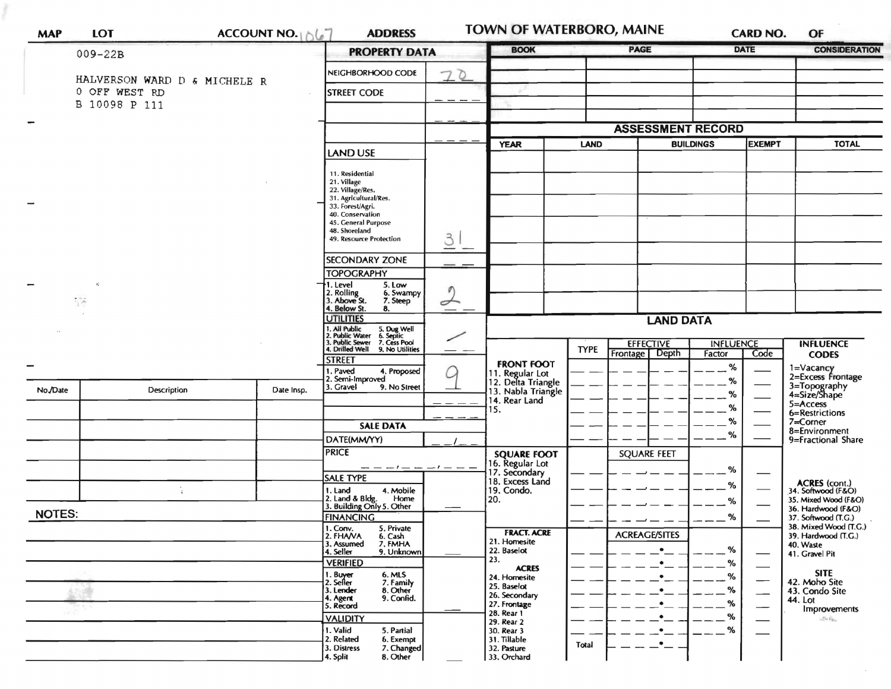| <b>MAP</b>    | <b>LOT</b>                   |  | ACCOUNT NO. A | <b>ADDRESS</b>                                                                                     |    | <b>TOWN OF WATERBORO, MAINE</b>          |             |                          |                                   | <b>CARD NO.</b> | OF                                           |  |
|---------------|------------------------------|--|---------------|----------------------------------------------------------------------------------------------------|----|------------------------------------------|-------------|--------------------------|-----------------------------------|-----------------|----------------------------------------------|--|
| $009 - 22B$   |                              |  |               | <b>PROPERTY DATA</b>                                                                               |    | <b>BOOK</b>                              |             |                          | <b>PAGE</b><br><b>DATE</b>        |                 | <b>CONSIDERATION</b>                         |  |
|               | HALVERSON WARD D & MICHELE R |  |               | NEIGHBORHOOD CODE<br>$\circ$                                                                       |    |                                          |             |                          |                                   |                 |                                              |  |
|               | 0 OFF WEST RD                |  |               | <b>STREET CODE</b>                                                                                 |    |                                          |             |                          |                                   |                 |                                              |  |
|               | B 10098 P 111                |  |               |                                                                                                    |    |                                          |             |                          |                                   |                 |                                              |  |
|               |                              |  |               |                                                                                                    |    |                                          |             | <b>ASSESSMENT RECORD</b> |                                   |                 |                                              |  |
|               |                              |  |               |                                                                                                    |    | <b>YEAR</b>                              | <b>LAND</b> |                          | <b>BUILDINGS</b><br><b>EXEMPT</b> |                 | <b>TOTAL</b>                                 |  |
|               |                              |  |               | <b>LAND USE</b>                                                                                    |    |                                          |             |                          |                                   |                 |                                              |  |
|               |                              |  |               | 11. Residential<br>21. Village<br>22. Village/Res.                                                 |    |                                          |             |                          |                                   |                 |                                              |  |
|               |                              |  |               | 31. Agricultural/Res.<br>33. Forest/Agri.                                                          |    |                                          |             |                          |                                   |                 |                                              |  |
|               |                              |  |               | 40. Conservation<br>45. General Purpose                                                            |    |                                          |             |                          |                                   |                 |                                              |  |
|               |                              |  |               | 48. Shoreland<br>49. Resource Protection                                                           | 3  |                                          |             |                          |                                   |                 |                                              |  |
|               |                              |  |               |                                                                                                    | -- |                                          |             |                          |                                   |                 |                                              |  |
|               |                              |  |               | SECONDARY ZONE<br><b>TOPOGRAPHY</b>                                                                |    |                                          |             |                          |                                   |                 |                                              |  |
|               |                              |  |               | 5. Low<br>1. Level                                                                                 |    |                                          |             |                          |                                   |                 |                                              |  |
|               | 53                           |  |               | 2. Rolling<br>3. Above St.<br>6. Swampy<br>7. Steep<br>4. Below St.<br>8.                          |    |                                          |             |                          |                                   |                 |                                              |  |
|               |                              |  |               | <b>UTILITIES</b>                                                                                   |    |                                          |             | <b>LAND DATA</b>         |                                   |                 |                                              |  |
|               |                              |  |               | . All Public<br>All Public 5. Dug Well<br>Public Water 6. Septic                                   |    |                                          |             | <b>EFFECTIVE</b>         | <b>INFLUENCE</b>                  |                 |                                              |  |
|               |                              |  |               | 3. Public Sewer 7. Cess Pool<br>4. Drilled Well 9. No Utilitie<br>9. No Utilities<br><b>STREET</b> |    |                                          | <b>TYPE</b> | Frontage<br>Depth        | Factor                            | Code            | <b>INFLUENCE</b><br><b>CODES</b>             |  |
|               |                              |  |               | Paved<br>4. Proposed                                                                               |    | <b>FRONT FOOT</b><br>11. Regular Lot     |             |                          | %                                 |                 | 1=Vacancy<br>2=Excess Frontage               |  |
| No./Date      | Description                  |  | Date Insp.    | 2. Semi-Improved<br>3. Gravel<br>9. No Street                                                      |    | 12. Delta Triangle<br>13. Nabla Triangle |             |                          | %<br>%                            |                 | 3=Topography<br>4=Size/Shape                 |  |
|               |                              |  |               |                                                                                                    |    | 14. Rear Land<br>15.                     |             |                          | %                                 |                 | $5 =$ Access                                 |  |
|               |                              |  |               | <b>SALE DATA</b>                                                                                   |    |                                          |             |                          | %                                 |                 | 6=Restrictions<br>7=Corner                   |  |
|               |                              |  |               | DATE(MM/YY)                                                                                        |    |                                          |             |                          | %                                 |                 | 8=Environment<br>9=Fractional Share          |  |
|               |                              |  |               | <b>PRICE</b>                                                                                       |    | <b>SQUARE FOOT</b>                       |             | <b>SQUARE FEET</b>       |                                   |                 |                                              |  |
|               |                              |  |               | <b>SALE TYPE</b>                                                                                   |    | 16. Regular Lot<br>17. Secondary         |             |                          | %                                 |                 |                                              |  |
|               | A.                           |  |               | 4. Mobile<br>1. Land                                                                               |    | 18. Excess Land<br>19. Condo.            |             |                          | %                                 |                 | ACRES (cont.)<br>34. Softwood (F&O)          |  |
| <b>NOTES:</b> |                              |  |               | 2. Land & Bldg.<br>Home<br>3. Building Only 5. Other                                               |    | 20.                                      |             |                          | %                                 |                 | 35. Mixed Wood (F&O)<br>36. Hardwood (F&O)   |  |
|               |                              |  |               | FINANCING<br>1. Conv.<br>5. Private                                                                |    |                                          |             |                          | %                                 |                 | 37. Softwood (T.G.)<br>38. Mixed Wood (T.G.) |  |
|               |                              |  |               | 2. FHANA<br>6. Cash<br>7. FMHA<br>3. Assumed                                                       |    | <b>FRACT. ACRE</b><br>21. Homesite       |             | <b>ACREAGE/SITES</b>     |                                   |                 | 39. Hardwood (T.G.)<br>40. Waste             |  |
|               |                              |  |               | 4. Seller<br>9. Unknown<br><b>VERIFIED</b>                                                         |    | 22. Baselot<br>23.                       |             | $\bullet$                | %<br>%                            |                 | 41. Gravel Pit                               |  |
|               |                              |  |               | 1. Buyer<br>2. Seller<br>6. MLS                                                                    |    | <b>ACRES</b><br>24. Homesite             |             |                          | %                                 |                 | <b>SITE</b>                                  |  |
|               |                              |  |               | 7. Family<br>3. Lender<br>8. Other<br>9. Confid.<br>4. Agent                                       |    | 25. Baselot<br>26. Secondary             |             |                          | %                                 |                 | 42. Moho Site<br>43. Condo Site              |  |
|               |                              |  |               | 5. Record                                                                                          |    | 27. Frontage<br>28. Rear 1               |             |                          | %                                 | —               | 44. Lot<br>Improvements                      |  |
|               |                              |  |               | <b>VALIDITY</b><br>1. Valid<br>5. Partial                                                          |    | 29. Rear 2<br>30. Rear 3                 |             | $\bullet$                | %<br>%                            |                 | $10 - 64$                                    |  |
|               |                              |  |               | 2. Related<br>6. Exempt<br>3. Distress<br>7. Changed                                               |    | 31. Tillable<br>32. Pasture              | Total       | ٠                        |                                   |                 |                                              |  |
|               |                              |  |               | 4. Split<br>8. Other                                                                               |    | 33. Orchard                              |             |                          |                                   |                 |                                              |  |

 $\sim$